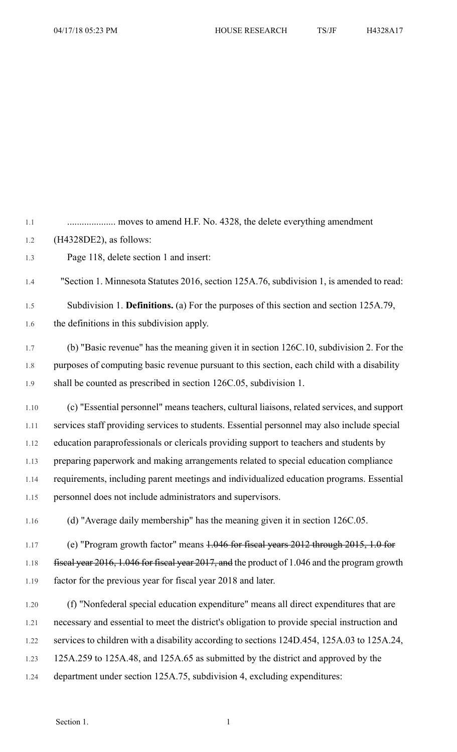1.1 .................... moves to amend H.F. No. 4328, the delete everything amendment 1.2 (H4328DE2), as follows: 1.3 Page 118, delete section 1 and insert: 1.4 "Section 1. Minnesota Statutes 2016, section 125A.76, subdivision 1, is amended to read: 1.5 Subdivision 1. **Definitions.** (a) For the purposes of this section and section 125A.79, 1.6 the definitions in this subdivision apply. 1.7 (b) "Basic revenue" has the meaning given it in section 126C.10, subdivision 2. For the 1.8 purposes of computing basic revenue pursuant to this section, each child with a disability 1.9 shall be counted as prescribed in section 126C.05, subdivision 1. 1.10 (c) "Essential personnel" means teachers, cultural liaisons, related services, and support 1.11 services staff providing services to students. Essential personnel may also include special 1.12 education paraprofessionals or clericals providing support to teachers and students by 1.13 preparing paperwork and making arrangements related to special education compliance 1.14 requirements, including parent meetings and individualized education programs. Essential 1.15 personnel does not include administrators and supervisors. 1.16 (d) "Average daily membership" has the meaning given it in section 126C.05. 1.17 (e) "Program growth factor" means 1.046 for fiscal years 2012 through 2015, 1.0 for 1.18 fiscal year 2016, 1.046 for fiscal year 2017, and the product of 1.046 and the program growth 1.19 factor for the previous year for fiscal year 2018 and later. 1.20 (f) "Nonfederal special education expenditure" means all direct expenditures that are 1.21 necessary and essential to meet the district's obligation to provide special instruction and 1.22 services to children with a disability according to sections 124D.454, 125A.03 to 125A.24,

1.23 125A.259 to 125A.48, and 125A.65 as submitted by the district and approved by the

1.24 department under section 125A.75, subdivision 4, excluding expenditures: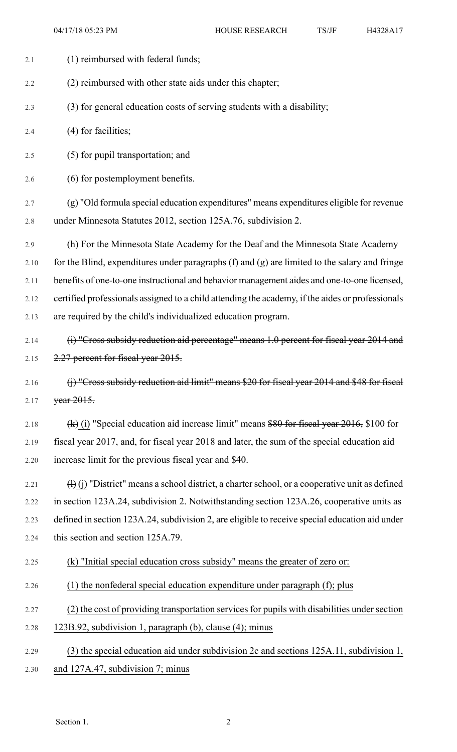| 2.1  | (1) reimbursed with federal funds;                                                                                |
|------|-------------------------------------------------------------------------------------------------------------------|
| 2.2  | (2) reimbursed with other state aids under this chapter;                                                          |
| 2.3  | (3) for general education costs of serving students with a disability;                                            |
| 2.4  | $(4)$ for facilities;                                                                                             |
| 2.5  | (5) for pupil transportation; and                                                                                 |
| 2.6  | (6) for postemployment benefits.                                                                                  |
| 2.7  | (g) "Old formula special education expenditures" means expenditures eligible for revenue                          |
| 2.8  | under Minnesota Statutes 2012, section 125A.76, subdivision 2.                                                    |
| 2.9  | (h) For the Minnesota State Academy for the Deaf and the Minnesota State Academy                                  |
| 2.10 | for the Blind, expenditures under paragraphs (f) and (g) are limited to the salary and fringe                     |
| 2.11 | benefits of one-to-one instructional and behavior management aides and one-to-one licensed,                       |
| 2.12 | certified professionals assigned to a child attending the academy, if the aides or professionals                  |
| 2.13 | are required by the child's individualized education program.                                                     |
| 2.14 | (i) "Cross subsidy reduction aid percentage" means 1.0 percent for fiscal year 2014 and                           |
| 2.15 | 2.27 percent for fiscal year 2015.                                                                                |
| 2.16 | (j) "Cross subsidy reduction aid limit" means \$20 for fiscal year 2014 and \$48 for fiscal                       |
| 2.17 | year 2015.                                                                                                        |
| 2.18 | $(k)$ (i) "Special education aid increase limit" means \$80 for fiscal year 2016, \$100 for                       |
| 2.19 | fiscal year 2017, and, for fiscal year 2018 and later, the sum of the special education aid                       |
| 2.20 | increase limit for the previous fiscal year and \$40.                                                             |
| 2.21 | $\left(\frac{1}{1}\right)$ "District" means a school district, a charter school, or a cooperative unit as defined |
| 2.22 | in section 123A.24, subdivision 2. Notwithstanding section 123A.26, cooperative units as                          |
| 2.23 | defined in section 123A.24, subdivision 2, are eligible to receive special education aid under                    |
| 2.24 | this section and section 125A.79.                                                                                 |
| 2.25 | (k) "Initial special education cross subsidy" means the greater of zero or:                                       |
| 2.26 | (1) the nonfederal special education expenditure under paragraph (f); plus                                        |
| 2.27 | (2) the cost of providing transportation services for pupils with disabilities under section                      |
| 2.28 | 123B.92, subdivision 1, paragraph (b), clause (4); minus                                                          |
| 2.29 | (3) the special education aid under subdivision 2c and sections 125A.11, subdivision 1,                           |
| 2.30 | and 127A.47, subdivision 7; minus                                                                                 |